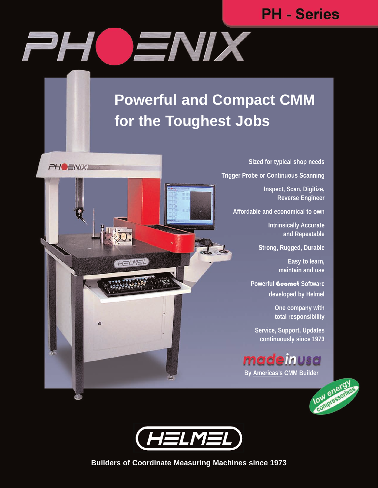# **PH - Series**



HELMEL

**PHO ENIXE** 

# **Powerful and Compact CMM for the Toughest Jobs**

**Sized for typical shop needs**

**Trigger Probe or Continuous Scanning**

**Inspect, Scan, Digitize, Reverse Engineer**

**Affordable and economical to own**

**Intrinsically Accurate and Repeatable**

**Strong, Rugged, Durable**

**Easy to learn, maintain and use**

**Powerful** Geomet **Software developed by Helmel**

> **One company with total responsibility**

**Service, Support, Updates continuously since 1973**

madeinusa